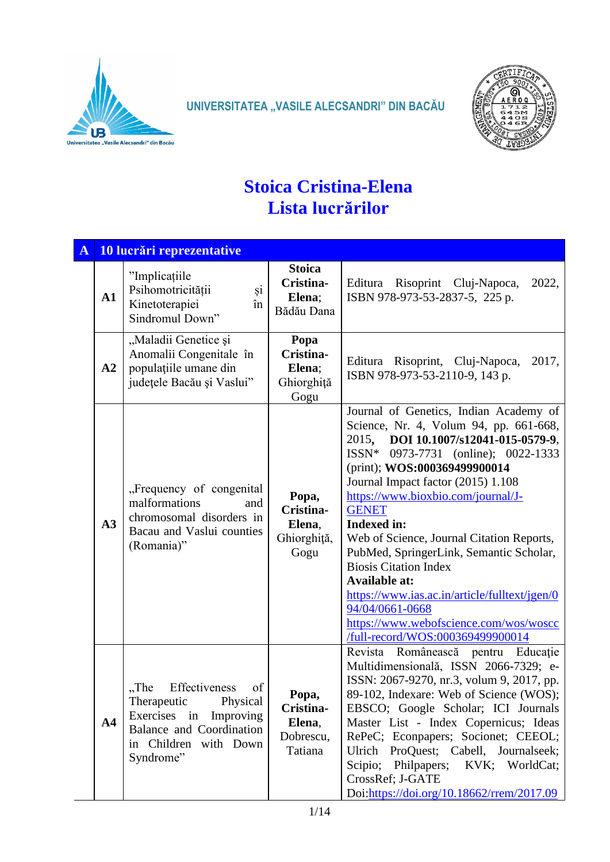

**UNIVERSITATEA "VASILE ALECSANDRI" DIN BACĂU** 



## **Stoica Cristina-Elena Lista lucrărilor**

| $\mathbf{A}$ |                | 10 lucrări reprezentative                                                                                                                                    |                                                      |                                                                                                                                                                                                                                                                                                                                                                                                                                                                                                                                                                                                                        |
|--------------|----------------|--------------------------------------------------------------------------------------------------------------------------------------------------------------|------------------------------------------------------|------------------------------------------------------------------------------------------------------------------------------------------------------------------------------------------------------------------------------------------------------------------------------------------------------------------------------------------------------------------------------------------------------------------------------------------------------------------------------------------------------------------------------------------------------------------------------------------------------------------------|
|              | $\mathbf{A1}$  | "Implicațiile<br>și<br>Psihomotricității<br>Kinetoterapiei<br>în<br>Sindromul Down"                                                                          | <b>Stoica</b><br>Cristina-<br>Elena;<br>Bădău Dana   | Editura Risoprint Cluj-Napoca,<br>2022,<br>ISBN 978-973-53-2837-5, 225 p.                                                                                                                                                                                                                                                                                                                                                                                                                                                                                                                                              |
|              | A2             | "Maladii Genetice și<br>Anomalii Congenitale în<br>populațiile umane din<br>județele Bacău și Vaslui"                                                        | Popa<br>Cristina-<br>Elena;<br>Ghiorghiță<br>Gogu    | Editura Risoprint, Cluj-Napoca,<br>2017,<br>ISBN 978-973-53-2110-9, 143 p.                                                                                                                                                                                                                                                                                                                                                                                                                                                                                                                                             |
|              | A3             | "Frequency of congenital<br>malformations<br>and<br>chromosomal disorders in<br>Bacau and Vaslui counties<br>(Romania)"                                      | Popa,<br>Cristina-<br>Elena,<br>Ghiorghiță,<br>Gogu  | Journal of Genetics, Indian Academy of<br>Science, Nr. 4, Volum 94, pp. 661-668,<br>DOI 10.1007/s12041-015-0579-9,<br>2015,<br>ISSN* 0973-7731 (online); 0022-1333<br>(print); WOS:000369499900014<br>Journal Impact factor (2015) 1.108<br>https://www.bioxbio.com/journal/J-<br><b>GENET</b><br><b>Indexed in:</b><br>Web of Science, Journal Citation Reports,<br>PubMed, SpringerLink, Semantic Scholar,<br><b>Biosis Citation Index</b><br><b>Available at:</b><br>https://www.ias.ac.in/article/fulltext/jgen/0<br>94/04/0661-0668<br>https://www.webofscience.com/wos/woscc<br>/full-record/WOS:000369499900014 |
|              | A <sub>4</sub> | Effectiveness<br>"The<br>of<br>Physical<br>Therapeutic<br>Exercises in<br>Improving<br><b>Balance and Coordination</b><br>in Children with Down<br>Syndrome" | Popa,<br>Cristina-<br>Elena,<br>Dobrescu,<br>Tatiana | Revista Românească pentru Educație<br>Multidimensională, ISSN 2066-7329; e-<br>ISSN: 2067-9270, nr.3, volum 9, 2017, pp.<br>89-102, Indexare: Web of Science (WOS);<br>EBSCO; Google Scholar; ICI Journals<br>Master List - Index Copernicus; Ideas<br>RePeC; Econpapers; Socionet; CEEOL;<br>Ulrich ProQuest; Cabell, Journalseek;<br>Scipio; Philpapers;<br>KVK; WorldCat;<br>CrossRef; J-GATE<br>Doi:https://doi.org/10.18662/rrem/2017.09                                                                                                                                                                          |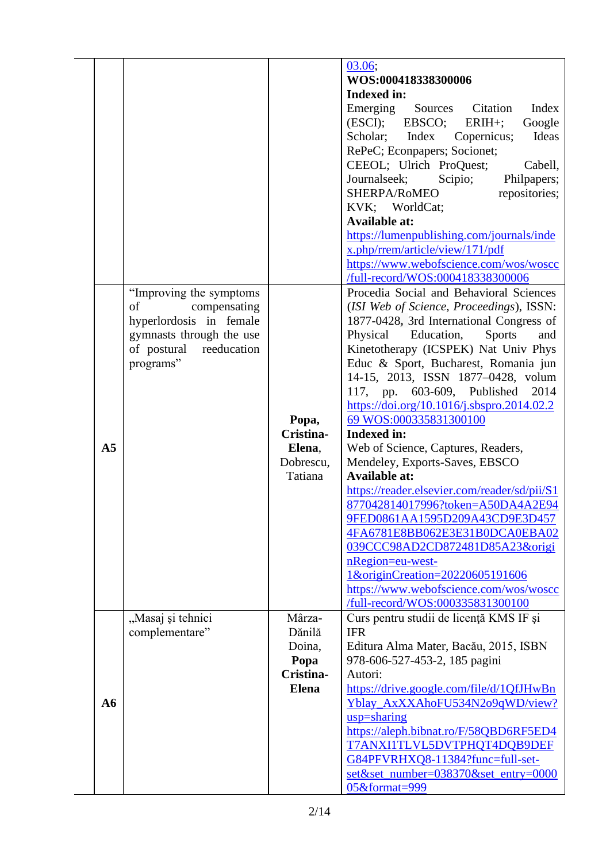|                |                          |              | 03.06;<br>WOS:000418338300006                         |
|----------------|--------------------------|--------------|-------------------------------------------------------|
|                |                          |              | <b>Indexed in:</b>                                    |
|                |                          |              | Citation<br>Index                                     |
|                |                          |              | Emerging<br>Sources                                   |
|                |                          |              | (ESCI);<br>EBSCO;<br>Google<br>$ERIH+;$               |
|                |                          |              | Scholar;<br>Index<br>Copernicus;<br>Ideas             |
|                |                          |              | RePeC; Econpapers; Socionet;                          |
|                |                          |              | CEEOL; Ulrich ProQuest;<br>Cabell,                    |
|                |                          |              | Journalseek;<br>Scipio;<br>Philpapers;                |
|                |                          |              | SHERPA/RoMEO<br>repositories;                         |
|                |                          |              | KVK; WorldCat;                                        |
|                |                          |              | <b>Available at:</b>                                  |
|                |                          |              | https://lumenpublishing.com/journals/inde             |
|                |                          |              | x.php/rrem/article/view/171/pdf                       |
|                |                          |              | https://www.webofscience.com/wos/woscc                |
|                |                          |              | /full-record/WOS:000418338300006                      |
|                | "Improving the symptoms" |              | Procedia Social and Behavioral Sciences               |
|                | of<br>compensating       |              | (ISI Web of Science, Proceedings), ISSN:              |
|                | hyperlordosis in female  |              | 1877-0428, 3rd International Congress of              |
|                | gymnasts through the use |              | Physical<br>Education,<br><b>Sports</b><br>and        |
|                | of postural reeducation  |              | Kinetotherapy (ICSPEK) Nat Univ Phys                  |
|                | programs"                |              | Educ & Sport, Bucharest, Romania jun                  |
|                |                          |              | 14-15, 2013, ISSN 1877-0428, volum                    |
|                |                          |              | 117, pp. 603-609, Published<br>2014                   |
|                |                          |              | https://doi.org/10.1016/j.sbspro.2014.02.2            |
|                |                          | Popa,        | 69 WOS:000335831300100                                |
|                |                          |              |                                                       |
|                |                          | Cristina-    | <b>Indexed in:</b>                                    |
| A <sub>5</sub> |                          | Elena,       | Web of Science, Captures, Readers,                    |
|                |                          | Dobrescu,    | Mendeley, Exports-Saves, EBSCO                        |
|                |                          | Tatiana      | <b>Available at:</b>                                  |
|                |                          |              | https://reader.elsevier.com/reader/sd/pii/S1          |
|                |                          |              | 877042814017996?token=A50DA4A2E94                     |
|                |                          |              | 9FED0861AA1595D209A43CD9E3D457                        |
|                |                          |              | 4FA6781E8BB062E3E31B0DCA0EBA02                        |
|                |                          |              | 039CCC98AD2CD872481D85A23&origi                       |
|                |                          |              | nRegion=eu-west-                                      |
|                |                          |              | 1&originCreation=20220605191606                       |
|                |                          |              | https://www.webofscience.com/wos/woscc                |
|                |                          |              | /full-record/WOS:000335831300100                      |
|                | "Masaj și tehnici        | Mârza-       | Curs pentru studii de licență KMS IF și               |
|                | complementare"           | Dănilă       | <b>IFR</b>                                            |
|                |                          | Doina,       | Editura Alma Mater, Bacău, 2015, ISBN                 |
|                |                          | Popa         | 978-606-527-453-2, 185 pagini                         |
|                |                          | Cristina-    | Autori:                                               |
|                |                          | <b>Elena</b> | https://drive.google.com/file/d/1QfJHwBn              |
| A6             |                          |              | Yblay_AxXXAhoFU534N2o9qWD/view?                       |
|                |                          |              | usp=sharing                                           |
|                |                          |              | https://aleph.bibnat.ro/F/58QBD6RF5ED4                |
|                |                          |              | T7ANXI1TLVL5DVTPHQT4DQB9DEF                           |
|                |                          |              | G84PFVRHXQ8-11384?func=full-set-                      |
|                |                          |              | set&set_number=038370&set_entry=0000<br>05&format=999 |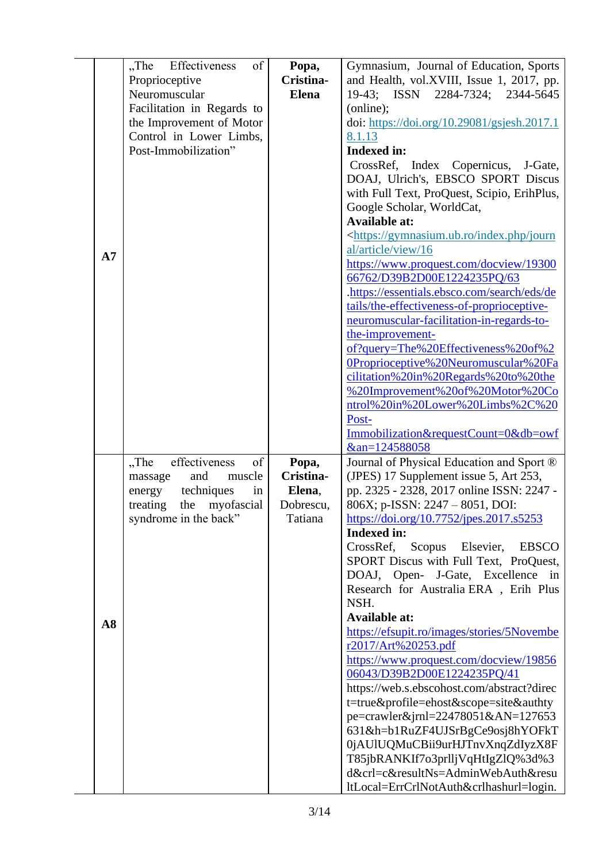|    | Effectiveness<br>of<br>$,$ The | Popa,        | Gymnasium, Journal of Education, Sports                                       |
|----|--------------------------------|--------------|-------------------------------------------------------------------------------|
|    | Proprioceptive                 | Cristina-    | and Health, vol.XVIII, Issue 1, 2017, pp.                                     |
|    | Neuromuscular                  | <b>Elena</b> | 19-43; ISSN 2284-7324; 2344-5645                                              |
|    |                                |              |                                                                               |
|    | Facilitation in Regards to     |              | (online);                                                                     |
|    | the Improvement of Motor       |              | doi: https://doi.org/10.29081/gsjesh.2017.1                                   |
|    | Control in Lower Limbs,        |              | 8.1.13                                                                        |
|    | Post-Immobilization"           |              | <b>Indexed in:</b>                                                            |
|    |                                |              | CrossRef, Index Copernicus,<br>J-Gate,                                        |
|    |                                |              |                                                                               |
|    |                                |              | DOAJ, Ulrich's, EBSCO SPORT Discus                                            |
|    |                                |              | with Full Text, ProQuest, Scipio, ErihPlus,                                   |
|    |                                |              | Google Scholar, WorldCat,                                                     |
|    |                                |              | <b>Available at:</b>                                                          |
|    |                                |              | <https: gymnasium.ub.ro="" index.php="" journ<="" td=""></https:>             |
|    |                                |              | al/article/view/16                                                            |
| A7 |                                |              |                                                                               |
|    |                                |              | https://www.proquest.com/docview/19300                                        |
|    |                                |              | 66762/D39B2D00E1224235PQ/63                                                   |
|    |                                |              | .https://essentials.ebsco.com/search/eds/de                                   |
|    |                                |              | tails/the-effectiveness-of-proprioceptive-                                    |
|    |                                |              | neuromuscular-facilitation-in-regards-to-                                     |
|    |                                |              |                                                                               |
|    |                                |              | the-improvement-                                                              |
|    |                                |              | of?query=The%20Effectiveness%20of%2                                           |
|    |                                |              | 0Proprioceptive%20Neuromuscular%20Fa                                          |
|    |                                |              | cilitation%20in%20Regards%20to%20the                                          |
|    |                                |              | %20Improvement%20of%20Motor%20Co                                              |
|    |                                |              |                                                                               |
|    |                                |              | ntrol%20in%20Lower%20Limbs%2C%20                                              |
|    |                                |              | Post-                                                                         |
|    |                                |              | Immobilization&requestCount=0&db=owf                                          |
|    |                                |              | &an=124588058                                                                 |
|    |                                |              |                                                                               |
|    |                                |              |                                                                               |
|    | "The<br>effectiveness<br>of    | Popa,        | Journal of Physical Education and Sport ®                                     |
|    | and<br>muscle<br>massage       | Cristina-    | (JPES) 17 Supplement issue 5, Art 253,                                        |
|    | techniques<br>energy<br>in     | Elena,       | pp. 2325 - 2328, 2017 online ISSN: 2247 -                                     |
|    | the myofascial<br>treating     | Dobrescu,    | 806X; p-ISSN: 2247 - 8051, DOI:                                               |
|    | syndrome in the back"          | Tatiana      | https://doi.org/10.7752/jpes.2017.s5253                                       |
|    |                                |              | <b>Indexed in:</b>                                                            |
|    |                                |              |                                                                               |
|    |                                |              | CrossRef,<br>Scopus Elsevier,<br><b>EBSCO</b>                                 |
|    |                                |              | SPORT Discus with Full Text, ProQuest,                                        |
|    |                                |              | DOAJ, Open- J-Gate, Excellence in                                             |
|    |                                |              | Research for Australia ERA, Erih Plus                                         |
|    |                                |              | NSH.                                                                          |
|    |                                |              | <b>Available at:</b>                                                          |
| A8 |                                |              |                                                                               |
|    |                                |              | https://efsupit.ro/images/stories/5Novembe                                    |
|    |                                |              | r2017/Art%20253.pdf                                                           |
|    |                                |              | https://www.proquest.com/docview/19856                                        |
|    |                                |              | 06043/D39B2D00E1224235PQ/41                                                   |
|    |                                |              | https://web.s.ebscohost.com/abstract?direc                                    |
|    |                                |              |                                                                               |
|    |                                |              | t=true&profile=ehost&scope=site&authty                                        |
|    |                                |              | $pe=crawler \& jrnl = 22478051 \& AN = 127653$                                |
|    |                                |              | 631&h=b1RuZF4UJSrBgCe9osj8hYOFkT                                              |
|    |                                |              | 0jAUlUQMuCBii9urHJTnvXnqZdIyzX8F                                              |
|    |                                |              | T85jbRANKIf7o3prlljVqHtIgZlQ%3d%3                                             |
|    |                                |              |                                                                               |
|    |                                |              | d&crl=c&resultNs=AdminWebAuth&resu<br>ltLocal=ErrCrlNotAuth&crlhashurl=login. |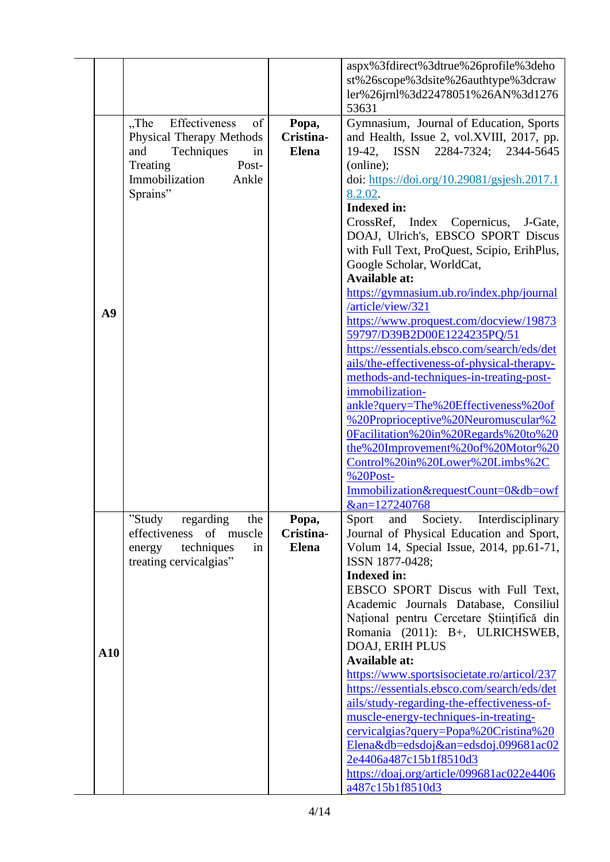|             |                                |                    | aspx%3fdirect%3dtrue%26profile%3deho                                           |
|-------------|--------------------------------|--------------------|--------------------------------------------------------------------------------|
|             |                                |                    | st%26scope%3dsite%26authtype%3dcraw                                            |
|             |                                |                    | ler%26jrnl%3d22478051%26AN%3d1276                                              |
|             |                                |                    | 53631                                                                          |
|             | Effectiveness<br>of<br>$,$ The | Popa,              | Gymnasium, Journal of Education, Sports                                        |
|             | Physical Therapy Methods       | Cristina-          | and Health, Issue 2, vol.XVIII, 2017, pp.                                      |
|             | and<br>Techniques<br>in        | <b>Elena</b>       | 19-42, ISSN 2284-7324; 2344-5645                                               |
|             | Post-<br>Treating              |                    | (online);                                                                      |
|             | Immobilization<br>Ankle        |                    | doi: https://doi.org/10.29081/gsjesh.2017.1                                    |
|             | Sprains"                       |                    | 8.2.02.                                                                        |
|             |                                |                    | <b>Indexed in:</b>                                                             |
|             |                                |                    | CrossRef, Index Copernicus, J-Gate,                                            |
|             |                                |                    | DOAJ, Ulrich's, EBSCO SPORT Discus                                             |
|             |                                |                    | with Full Text, ProQuest, Scipio, ErihPlus,                                    |
|             |                                |                    | Google Scholar, WorldCat,                                                      |
|             |                                |                    | <b>Available at:</b>                                                           |
|             |                                |                    | https://gymnasium.ub.ro/index.php/journal                                      |
|             |                                |                    | /article/view/321                                                              |
| A9          |                                |                    | https://www.proquest.com/docview/19873                                         |
|             |                                |                    | 59797/D39B2D00E1224235PQ/51                                                    |
|             |                                |                    | https://essentials.ebsco.com/search/eds/det                                    |
|             |                                |                    |                                                                                |
|             |                                |                    | ails/the-effectiveness-of-physical-therapy-                                    |
|             |                                |                    | methods-and-techniques-in-treating-post-                                       |
|             |                                |                    | immobilization-                                                                |
|             |                                |                    | ankle?query=The%20Effectiveness%20of                                           |
|             |                                |                    | %20Proprioceptive%20Neuromuscular%2                                            |
|             |                                |                    | 0Facilitation%20in%20Regards%20to%20                                           |
|             |                                |                    | the%20Improvement%20of%20Motor%20                                              |
|             |                                |                    | Control%20in%20Lower%20Limbs%2C                                                |
|             |                                |                    | $%20Post-$                                                                     |
|             |                                |                    | Immobilization&requestCount=0&db=owf                                           |
|             |                                |                    | &an=127240768                                                                  |
|             | "Study<br>regarding<br>the     | Popa,<br>Cristina- | Sport<br>and<br>Society.<br>Interdisciplinary                                  |
|             | effectiveness of muscle        |                    | Journal of Physical Education and Sport,                                       |
|             | techniques<br>energy<br>in     | <b>Elena</b>       | Volum 14, Special Issue, 2014, pp.61-71,                                       |
|             | treating cervicalgias"         |                    | ISSN 1877-0428;<br><b>Indexed in:</b>                                          |
|             |                                |                    | EBSCO SPORT Discus with Full Text,                                             |
|             |                                |                    | Academic Journals Database, Consiliul                                          |
|             |                                |                    | Național pentru Cercetare Științifică din                                      |
|             |                                |                    | Romania (2011): B+, ULRICHSWEB,                                                |
|             |                                |                    |                                                                                |
| ${\bf A10}$ |                                |                    | DOAJ, ERIH PLUS                                                                |
|             |                                |                    | <b>Available at:</b>                                                           |
|             |                                |                    | https://www.sportsisocietate.ro/articol/237                                    |
|             |                                |                    | https://essentials.ebsco.com/search/eds/det                                    |
|             |                                |                    | ails/study-regarding-the-effectiveness-of-                                     |
|             |                                |                    | muscle-energy-techniques-in-treating-<br>cervicalgias?query=Popa%20Cristina%20 |
|             |                                |                    | Elena&db=edsdoj&an=edsdoj.099681ac02                                           |
|             |                                |                    | 2e4406a487c15b1f8510d3                                                         |
|             |                                |                    | https://doaj.org/article/099681ac022e4406                                      |
|             |                                |                    | a487c15b1f8510d3                                                               |
|             |                                |                    |                                                                                |

L,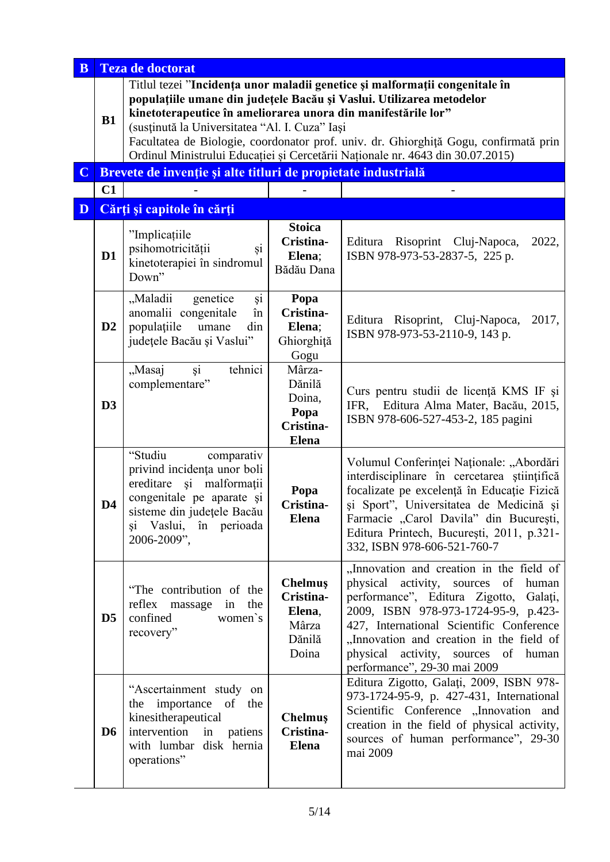| $\mathbf{B}$ |                | <b>Teza de doctorat</b>                                                                                                                                                                 |                                                                 |                                                                                                                                                                                                                                                                                                                                                          |
|--------------|----------------|-----------------------------------------------------------------------------------------------------------------------------------------------------------------------------------------|-----------------------------------------------------------------|----------------------------------------------------------------------------------------------------------------------------------------------------------------------------------------------------------------------------------------------------------------------------------------------------------------------------------------------------------|
|              | B1             | kinetoterapeutice în ameliorarea unora din manifestările lor"<br>(susținută la Universitatea "Al. I. Cuza" Iași                                                                         |                                                                 | Titlul tezei "Incidența unor maladii genetice și malformații congenitale în<br>populațiile umane din județele Bacău și Vaslui. Utilizarea metodelor<br>Facultatea de Biologie, coordonator prof. univ. dr. Ghiorghiță Gogu, confirmată prin<br>Ordinul Ministrului Educației și Cercetării Naționale nr. 4643 din 30.07.2015)                            |
| $\mathbf C$  |                | Brevete de invenție și alte titluri de propietate industrială                                                                                                                           |                                                                 |                                                                                                                                                                                                                                                                                                                                                          |
|              | C1             |                                                                                                                                                                                         |                                                                 |                                                                                                                                                                                                                                                                                                                                                          |
| D            |                | Cărți și capitole în cărți                                                                                                                                                              |                                                                 |                                                                                                                                                                                                                                                                                                                                                          |
|              | D1             | "Implicațiile<br>psihomotricității<br>şi<br>kinetoterapiei în sindromul<br>Down"                                                                                                        | <b>Stoica</b><br>Cristina-<br>Elena;<br>Bădău Dana              | Editura Risoprint Cluj-Napoca,<br>2022,<br>ISBN 978-973-53-2837-5, 225 p.                                                                                                                                                                                                                                                                                |
|              | D2             | şi<br>"Maladii<br>genetice<br>anomalii congenitale<br>în<br>populațiile<br>umane<br>din<br>județele Bacău și Vaslui"                                                                    | Popa<br>Cristina-<br>Elena;<br>Ghiorghiță<br>Gogu               | 2017,<br>Editura Risoprint, Cluj-Napoca,<br>ISBN 978-973-53-2110-9, 143 p.                                                                                                                                                                                                                                                                               |
|              | D3             | tehnici<br>"Masaj<br>$\overline{si}$<br>complementare"                                                                                                                                  | Mârza-<br>Dănilă<br>Doina,<br>Popa<br>Cristina-<br><b>Elena</b> | Curs pentru studii de licență KMS IF și<br>Editura Alma Mater, Bacău, 2015,<br>IFR.<br>ISBN 978-606-527-453-2, 185 pagini                                                                                                                                                                                                                                |
|              | D <sub>4</sub> | "Studiu<br>comparativ<br>privind incidența unor boli<br>ereditare și malformații<br>congenitale pe aparate și<br>sisteme din județele Bacău<br>Vaslui, în perioada<br>şi<br>2006-2009", | Popa<br>Cristina-<br><b>Elena</b>                               | Volumul Conferinței Naționale: "Abordări<br>interdisciplinare în cercetarea științifică<br>focalizate pe excelență în Educație Fizică<br>și Sport", Universitatea de Medicină și<br>Farmacie "Carol Davila" din București,<br>Editura Printech, București, 2011, p.321-<br>332, ISBN 978-606-521-760-7                                                   |
|              | D <sub>5</sub> | "The contribution of the<br>reflex massage<br>the<br>in<br>confined<br>women's<br>recovery"                                                                                             | Chelmuş<br>Cristina-<br>Elena,<br>Mârza<br>Dănilă<br>Doina      | "Innovation and creation in the field of<br>physical<br>activity,<br>sources<br>of<br>human<br>performance", Editura Zigotto,<br>Galați,<br>2009, ISBN 978-973-1724-95-9, p.423-<br>427, International Scientific Conference<br>"Innovation and creation in the field of<br>activity,<br>physical<br>sources of<br>human<br>performance", 29-30 mai 2009 |
|              | D <sub>6</sub> | "Ascertainment study on<br>the importance of<br>the<br>kinesitherapeutical<br>intervention<br>in<br>patiens<br>with lumbar disk hernia<br>operations"                                   | Chelmuş<br>Cristina-<br><b>Elena</b>                            | Editura Zigotto, Galați, 2009, ISBN 978-<br>973-1724-95-9, p. 427-431, International<br>Scientific Conference "Innovation and<br>creation in the field of physical activity,<br>sources of human performance", 29-30<br>mai 2009                                                                                                                         |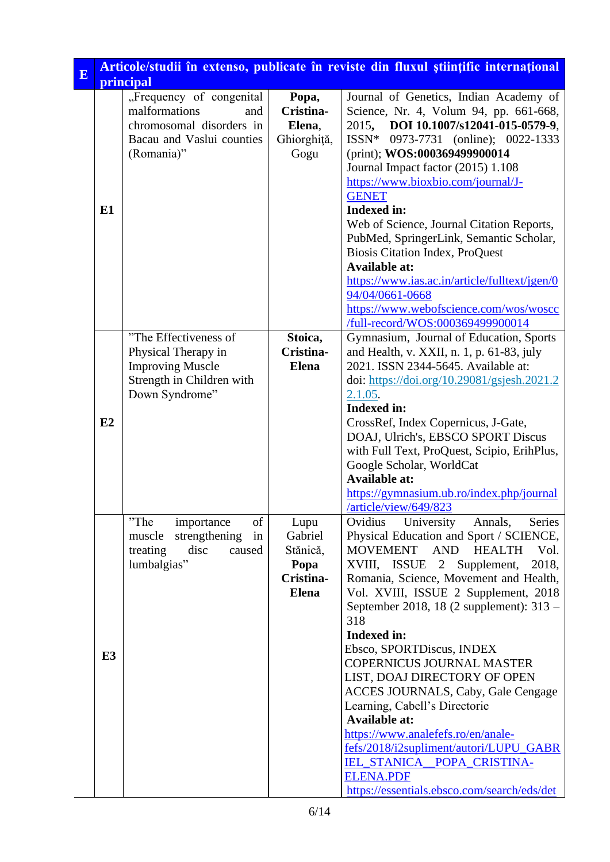| E | Articole/studii în extenso, publicate în reviste din fluxul științific internațional |                                                                                                                         |                                                                  |                                                                                                                                                                                                                                                                                                                                                                                                                                                                                                                                                                                                                                                                                                                          |
|---|--------------------------------------------------------------------------------------|-------------------------------------------------------------------------------------------------------------------------|------------------------------------------------------------------|--------------------------------------------------------------------------------------------------------------------------------------------------------------------------------------------------------------------------------------------------------------------------------------------------------------------------------------------------------------------------------------------------------------------------------------------------------------------------------------------------------------------------------------------------------------------------------------------------------------------------------------------------------------------------------------------------------------------------|
|   |                                                                                      | principal                                                                                                               |                                                                  |                                                                                                                                                                                                                                                                                                                                                                                                                                                                                                                                                                                                                                                                                                                          |
|   | E1                                                                                   | "Frequency of congenital<br>malformations<br>and<br>chromosomal disorders in<br>Bacau and Vaslui counties<br>(Romania)" | Popa,<br>Cristina-<br>Elena,<br>Ghiorghiță,<br>Gogu              | Journal of Genetics, Indian Academy of<br>Science, Nr. 4, Volum 94, pp. 661-668,<br>2015, DOI 10.1007/s12041-015-0579-9,<br>ISSN* 0973-7731 (online); 0022-1333<br>(print); WOS:000369499900014<br>Journal Impact factor (2015) 1.108<br>https://www.bioxbio.com/journal/J-<br><b>GENET</b><br><b>Indexed in:</b><br>Web of Science, Journal Citation Reports,<br>PubMed, SpringerLink, Semantic Scholar,<br><b>Biosis Citation Index, ProQuest</b><br><b>Available at:</b><br>https://www.ias.ac.in/article/fulltext/jgen/0<br>94/04/0661-0668<br>https://www.webofscience.com/wos/woscc                                                                                                                                |
|   | E2                                                                                   | "The Effectiveness of<br>Physical Therapy in<br><b>Improving Muscle</b><br>Strength in Children with<br>Down Syndrome"  | Stoica,<br>Cristina-<br><b>Elena</b>                             | /full-record/WOS:000369499900014<br>Gymnasium, Journal of Education, Sports<br>and Health, v. XXII, n. 1, p. 61-83, july<br>2021. ISSN 2344-5645. Available at:<br>doi: https://doi.org/10.29081/gsjesh.2021.2<br>2.1.05.<br><b>Indexed in:</b><br>CrossRef, Index Copernicus, J-Gate,<br>DOAJ, Ulrich's, EBSCO SPORT Discus<br>with Full Text, ProQuest, Scipio, ErihPlus,<br>Google Scholar, WorldCat<br><b>Available at:</b><br>https://gymnasium.ub.ro/index.php/journal<br>/article/view/649/823                                                                                                                                                                                                                    |
|   | E <sub>3</sub>                                                                       | "The<br>importance<br>of<br>strengthening<br>in<br>muscle<br>treating<br>disc<br>caused<br>lumbalgias"                  | Lupu<br>Gabriel<br>Stănică,<br>Popa<br>Cristina-<br><b>Elena</b> | Ovidius<br>University<br>Annals,<br>Series<br>Physical Education and Sport / SCIENCE,<br>MOVEMENT AND<br><b>HEALTH</b><br>Vol.<br>XVIII, ISSUE 2 Supplement,<br>2018,<br>Romania, Science, Movement and Health,<br>Vol. XVIII, ISSUE 2 Supplement, 2018<br>September 2018, 18 (2 supplement): 313 –<br>318<br><b>Indexed in:</b><br>Ebsco, SPORTDiscus, INDEX<br><b>COPERNICUS JOURNAL MASTER</b><br>LIST, DOAJ DIRECTORY OF OPEN<br><b>ACCES JOURNALS, Caby, Gale Cengage</b><br>Learning, Cabell's Directorie<br><b>Available at:</b><br>https://www.analefefs.ro/en/anale-<br>fefs/2018/i2supliment/autori/LUPU_GABR<br>IEL_STANICA_POPA_CRISTINA-<br><b>ELENA.PDF</b><br>https://essentials.ebsco.com/search/eds/det |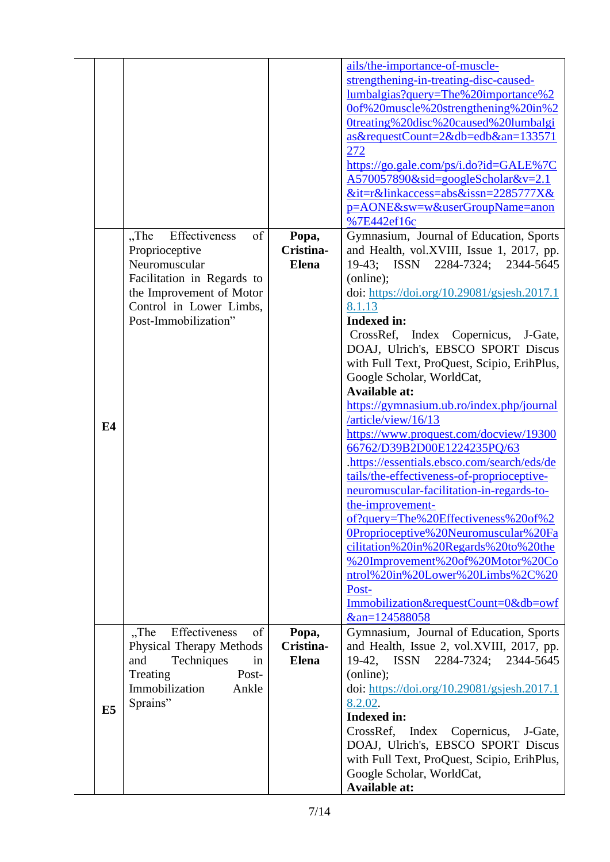|                |                                                                                                                                                                                |                                    | ails/the-importance-of-muscle-<br>strengthening-in-treating-disc-caused-<br>lumbalgias?query=The%20importance%2<br>Oof%20muscle%20strengthening%20in%2<br>Otreating%20disc%20caused%20lumbalgi<br>as&requestCount=2&db=edb&an=133571<br>272<br>https://go.gale.com/ps/i.do?id=GALE%7C<br>$A570057890\&$ sid=googleScholar $&$ v=2.1<br>⁢=r&linkaccess=abs&issn=2285777X&<br>p=AONE&sw=w&userGroupName=anon<br>%7E442ef16c                                                                                                                                                                                                                                                                                                                                                                                                                                                                                                                                                               |
|----------------|--------------------------------------------------------------------------------------------------------------------------------------------------------------------------------|------------------------------------|-----------------------------------------------------------------------------------------------------------------------------------------------------------------------------------------------------------------------------------------------------------------------------------------------------------------------------------------------------------------------------------------------------------------------------------------------------------------------------------------------------------------------------------------------------------------------------------------------------------------------------------------------------------------------------------------------------------------------------------------------------------------------------------------------------------------------------------------------------------------------------------------------------------------------------------------------------------------------------------------|
| E4             | $,$ The<br>Effectiveness<br>of<br>Proprioceptive<br>Neuromuscular<br>Facilitation in Regards to<br>the Improvement of Motor<br>Control in Lower Limbs,<br>Post-Immobilization" | Popa,<br>Cristina-<br><b>Elena</b> | Gymnasium, Journal of Education, Sports<br>and Health, vol.XVIII, Issue 1, 2017, pp.<br>19-43; ISSN 2284-7324;<br>2344-5645<br>(online);<br>doi: https://doi.org/10.29081/gsjesh.2017.1<br>8.1.13<br><b>Indexed in:</b><br>CrossRef, Index Copernicus,<br>J-Gate,<br>DOAJ, Ulrich's, EBSCO SPORT Discus<br>with Full Text, ProQuest, Scipio, ErihPlus,<br>Google Scholar, WorldCat,<br><b>Available at:</b><br>https://gymnasium.ub.ro/index.php/journal<br>/article/view/16/13<br>https://www.proquest.com/docview/19300<br>66762/D39B2D00E1224235PQ/63<br>.https://essentials.ebsco.com/search/eds/de<br>tails/the-effectiveness-of-proprioceptive-<br>neuromuscular-facilitation-in-regards-to-<br>the-improvement-<br>of?query=The%20Effectiveness%20of%2<br>OProprioceptive%20Neuromuscular%20Fa<br>cilitation%20in%20Regards%20to%20the<br>%20Improvement%20of%20Motor%20Co<br>ntrol%20in%20Lower%20Limbs%2C%20<br>Post-<br>Immobilization&requestCount=0&db=owf<br>&an=124588058 |
| E <sub>5</sub> | Effectiveness<br>$,$ The<br>of<br><b>Physical Therapy Methods</b><br>and<br>Techniques<br>in<br>Treating<br>Post-<br>Immobilization<br>Ankle<br>Sprains"                       | Popa,<br>Cristina-<br><b>Elena</b> | Gymnasium, Journal of Education, Sports<br>and Health, Issue 2, vol.XVIII, 2017, pp.<br>19-42, ISSN 2284-7324;<br>2344-5645<br>(online);<br>doi: https://doi.org/10.29081/gsjesh.2017.1<br>8.2.02.<br><b>Indexed in:</b><br>CrossRef, Index<br>Copernicus,<br>J-Gate,<br>DOAJ, Ulrich's, EBSCO SPORT Discus<br>with Full Text, ProQuest, Scipio, ErihPlus,<br>Google Scholar, WorldCat,<br><b>Available at:</b>                                                                                                                                                                                                                                                                                                                                                                                                                                                                                                                                                                         |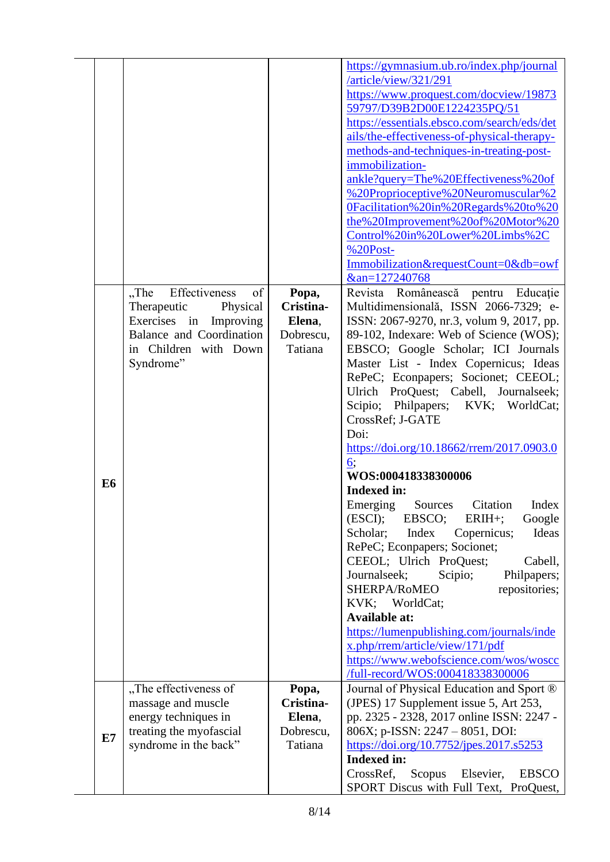|                |                             |           | https://gymnasium.ub.ro/index.php/journal        |
|----------------|-----------------------------|-----------|--------------------------------------------------|
|                |                             |           | /article/view/321/291                            |
|                |                             |           | https://www.proquest.com/docview/19873           |
|                |                             |           | 59797/D39B2D00E1224235PQ/51                      |
|                |                             |           | https://essentials.ebsco.com/search/eds/det      |
|                |                             |           | ails/the-effectiveness-of-physical-therapy-      |
|                |                             |           | methods-and-techniques-in-treating-post-         |
|                |                             |           | immobilization-                                  |
|                |                             |           |                                                  |
|                |                             |           | ankle?query=The%20Effectiveness%20of             |
|                |                             |           | %20Proprioceptive%20Neuromuscular%2              |
|                |                             |           | 0Facilitation%20in%20Regards%20to%20             |
|                |                             |           | the%20Improvement%20of%20Motor%20                |
|                |                             |           | Control%20in%20Lower%20Limbs%2C                  |
|                |                             |           | %20Post-                                         |
|                |                             |           | Immobilization&requestCount=0&db=owf             |
|                |                             |           | &an=127240768                                    |
|                | Effectiveness<br>"The<br>of | Popa,     | Revista Românească pentru Educație               |
|                | Therapeutic<br>Physical     | Cristina- | Multidimensională, ISSN 2066-7329; e-            |
|                | Exercises in Improving      | Elena,    | ISSN: 2067-9270, nr.3, volum 9, 2017, pp.        |
|                | Balance and Coordination    | Dobrescu, | 89-102, Indexare: Web of Science (WOS);          |
|                | in Children with Down       | Tatiana   | EBSCO; Google Scholar; ICI Journals              |
|                | Syndrome"                   |           | Master List - Index Copernicus; Ideas            |
|                |                             |           | RePeC; Econpapers; Socionet; CEEOL;              |
|                |                             |           | Ulrich ProQuest; Cabell, Journalseek;            |
|                |                             |           | Scipio; Philpapers; KVK; WorldCat;               |
|                |                             |           | CrossRef; J-GATE                                 |
|                |                             |           | Doi:                                             |
|                |                             |           |                                                  |
|                |                             |           | https://doi.org/10.18662/rrem/2017.0903.0        |
|                |                             |           | 6:                                               |
| E <sub>6</sub> |                             |           | WOS:000418338300006                              |
|                |                             |           | <b>Indexed in:</b>                               |
|                |                             |           | Emerging<br>Sources<br>Citation<br>Index         |
|                |                             |           | (ESCI);<br>EBSCO;<br>$ERIH+;$<br>Google          |
|                |                             |           | Index<br>Scholar;<br>Copernicus;<br>Ideas        |
|                |                             |           | RePeC; Econpapers; Socionet;                     |
|                |                             |           | CEEOL; Ulrich ProQuest;<br>Cabell,               |
|                |                             |           | Journalseek;<br>Scipio;<br>Philpapers;           |
|                |                             |           | SHERPA/RoMEO<br>repositories;                    |
|                |                             |           | KVK; WorldCat;                                   |
|                |                             |           | <b>Available at:</b>                             |
|                |                             |           | https://lumenpublishing.com/journals/inde        |
|                |                             |           | x.php/rrem/article/view/171/pdf                  |
|                |                             |           | https://www.webofscience.com/wos/woscc           |
|                |                             |           | /full-record/WOS:000418338300006                 |
|                | "The effectiveness of       | Popa,     | Journal of Physical Education and Sport ®        |
|                | massage and muscle          | Cristina- | (JPES) 17 Supplement issue 5, Art 253,           |
|                | energy techniques in        | Elena,    | pp. 2325 - 2328, 2017 online ISSN: 2247 -        |
|                | treating the myofascial     | Dobrescu, | 806X; p-ISSN: 2247 - 8051, DOI:                  |
| E7             | syndrome in the back"       | Tatiana   | https://doi.org/10.7752/jpes.2017.s5253          |
|                |                             |           | <b>Indexed in:</b>                               |
|                |                             |           | CrossRef,<br>Scopus<br>Elsevier,<br><b>EBSCO</b> |
|                |                             |           | SPORT Discus with Full Text, ProQuest,           |
|                |                             |           |                                                  |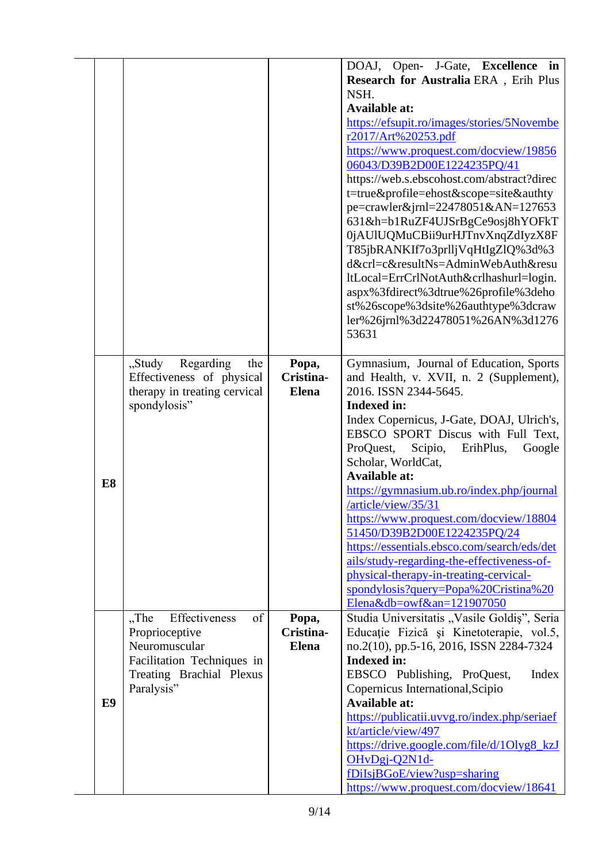|    |                                                                                                                                           |                                    | DOAJ, Open- J-Gate, Excellence in<br>Research for Australia ERA, Erih Plus<br>NSH.<br><b>Available at:</b><br>https://efsupit.ro/images/stories/5Novembe<br>r2017/Art%20253.pdf<br>https://www.proquest.com/docview/19856<br>06043/D39B2D00E1224235PQ/41<br>https://web.s.ebscohost.com/abstract?direc<br>t=true&profile=ehost&scope=site&authty<br>pe=crawler&jrnl=22478051&AN=127653<br>631&h=b1RuZF4UJSrBgCe9osj8hYOFkT<br>0jAUlUQMuCBii9urHJTnvXnqZdIyzX8F<br>T85jbRANKIf7o3prlljVqHtIgZlQ%3d%3<br>d&crl=c&resultNs=AdminWebAuth&resu<br>ltLocal=ErrCrlNotAuth&crlhashurl=login.<br>aspx%3fdirect%3dtrue%26profile%3deho<br>st%26scope%3dsite%26authtype%3dcraw<br>ler%26jrnl%3d22478051%26AN%3d1276<br>53631 |
|----|-------------------------------------------------------------------------------------------------------------------------------------------|------------------------------------|-------------------------------------------------------------------------------------------------------------------------------------------------------------------------------------------------------------------------------------------------------------------------------------------------------------------------------------------------------------------------------------------------------------------------------------------------------------------------------------------------------------------------------------------------------------------------------------------------------------------------------------------------------------------------------------------------------------------|
| E8 | Regarding<br>"Study<br>the<br>Effectiveness of physical<br>therapy in treating cervical<br>spondylosis"                                   | Popa,<br>Cristina-<br><b>Elena</b> | Gymnasium, Journal of Education, Sports<br>and Health, v. XVII, n. 2 (Supplement),<br>2016. ISSN 2344-5645.<br><b>Indexed in:</b><br>Index Copernicus, J-Gate, DOAJ, Ulrich's,<br>EBSCO SPORT Discus with Full Text,<br>ProQuest, Scipio,<br>ErihPlus,<br>Google<br>Scholar, WorldCat,<br><b>Available at:</b><br>https://gymnasium.ub.ro/index.php/journal<br>/article/view/35/31<br>https://www.proquest.com/docview/18804<br>51450/D39B2D00E1224235PQ/24<br>https://essentials.ebsco.com/search/eds/det<br>ails/study-regarding-the-effectiveness-of-<br>physical-therapy-in-treating-cervical-<br>spondylosis?query=Popa%20Cristina%20<br>Elena&db=owf&an= $121907050$                                        |
| E9 | Effectiveness<br>of<br>$,$ The<br>Proprioceptive<br>Neuromuscular<br>Facilitation Techniques in<br>Treating Brachial Plexus<br>Paralysis" | Popa,<br>Cristina-<br><b>Elena</b> | Studia Universitatis "Vasile Goldiș", Seria<br>Educație Fizică și Kinetoterapie, vol.5,<br>no.2(10), pp.5-16, 2016, ISSN 2284-7324<br><b>Indexed in:</b><br>EBSCO Publishing, ProQuest,<br>Index<br>Copernicus International, Scipio<br><b>Available at:</b><br>https://publicatii.uvvg.ro/index.php/seriaef<br>kt/article/view/497<br>https://drive.google.com/file/d/1Olyg8_kzJ<br>OHvDgj-Q2N1d-<br>fDiIsjBGoE/view?usp=sharing<br>https://www.proquest.com/docview/18641                                                                                                                                                                                                                                       |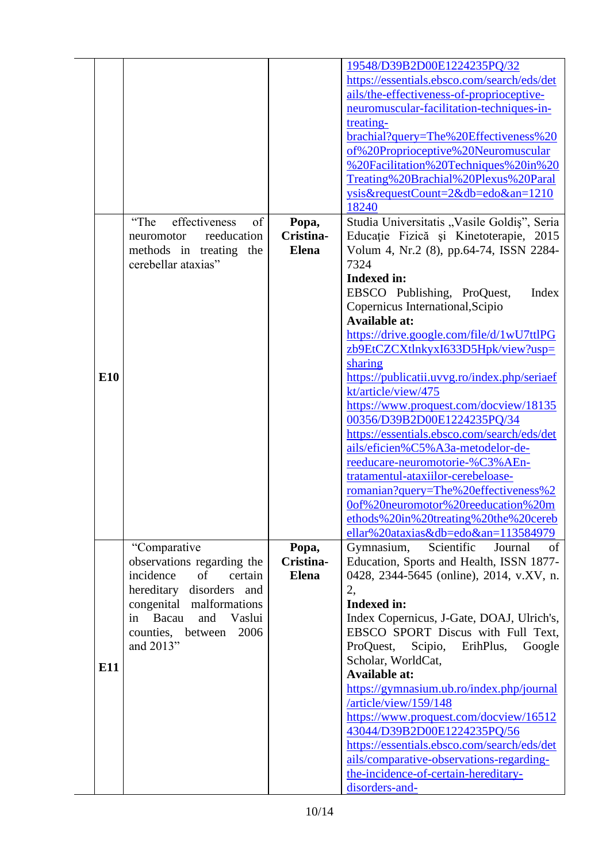|     |                                |              | 19548/D39B2D00E1224235PQ/32                  |
|-----|--------------------------------|--------------|----------------------------------------------|
|     |                                |              | https://essentials.ebsco.com/search/eds/det  |
|     |                                |              | ails/the-effectiveness-of-proprioceptive-    |
|     |                                |              | neuromuscular-facilitation-techniques-in-    |
|     |                                |              |                                              |
|     |                                |              | treating-                                    |
|     |                                |              | brachial?query=The%20Effectiveness%20        |
|     |                                |              | of%20Proprioceptive%20Neuromuscular          |
|     |                                |              | %20Facilitation%20Techniques%20in%20         |
|     |                                |              | Treating%20Brachial%20Plexus%20Paral         |
|     |                                |              | ysis&requestCount=2&db=edo&an=1210           |
|     |                                |              | 18240                                        |
|     | effectiveness<br>"The<br>of    | Popa,        | Studia Universitatis "Vasile Goldiș", Seria  |
|     | reeducation<br>neuromotor      | Cristina-    | Educație Fizică și Kinetoterapie, 2015       |
|     | methods in treating<br>the     | <b>Elena</b> | Volum 4, Nr.2 (8), pp.64-74, ISSN 2284-      |
|     | cerebellar ataxias"            |              | 7324                                         |
|     |                                |              | <b>Indexed in:</b>                           |
|     |                                |              | EBSCO Publishing, ProQuest,<br>Index         |
|     |                                |              |                                              |
|     |                                |              | Copernicus International, Scipio             |
|     |                                |              | <b>Available at:</b>                         |
|     |                                |              | https://drive.google.com/file/d/1wU7ttlPG    |
|     |                                |              | zb9EtCZCXtlnkyxI633D5Hpk/view?usp=           |
|     |                                |              | sharing                                      |
| E10 |                                |              | https://publicatii.uvvg.ro/index.php/seriaef |
|     |                                |              | kt/article/view/475                          |
|     |                                |              | https://www.proquest.com/docview/18135       |
|     |                                |              | 00356/D39B2D00E1224235PQ/34                  |
|     |                                |              | https://essentials.ebsco.com/search/eds/det  |
|     |                                |              | ails/eficien%C5%A3a-metodelor-de-            |
|     |                                |              | reeducare-neuromotorie-%C3%AEn-              |
|     |                                |              | tratamentul-ataxiilor-cerebeloase-           |
|     |                                |              | romanian?query=The%20effectiveness%2         |
|     |                                |              | 0of%20neuromotor%20reeducation%20m           |
|     |                                |              |                                              |
|     |                                |              | ethods%20in%20treating%20the%20cereb         |
|     |                                |              | ellar%20ataxias&db=edo&an=113584979          |
|     | "Comparative"                  | Popa,        | Scientific<br>Gymnasium,<br>Journal<br>of    |
|     | observations regarding the     | Cristina-    | Education, Sports and Health, ISSN 1877-     |
|     | incidence<br>of<br>certain     | <b>Elena</b> | 0428, 2344-5645 (online), 2014, v.XV, n.     |
|     | hereditary<br>disorders<br>and |              | 2,                                           |
|     | congenital malformations       |              | <b>Indexed in:</b>                           |
|     | Bacau<br>and<br>Vaslui<br>in   |              | Index Copernicus, J-Gate, DOAJ, Ulrich's,    |
|     | 2006<br>counties, between      |              | EBSCO SPORT Discus with Full Text,           |
|     | and 2013"                      |              | ProQuest,<br>Scipio,<br>ErihPlus,<br>Google  |
|     |                                |              | Scholar, WorldCat,                           |
| E11 |                                |              | <b>Available at:</b>                         |
|     |                                |              | https://gymnasium.ub.ro/index.php/journal    |
|     |                                |              | /article/view/159/148                        |
|     |                                |              | https://www.proquest.com/docview/16512       |
|     |                                |              | 43044/D39B2D00E1224235PQ/56                  |
|     |                                |              | https://essentials.ebsco.com/search/eds/det  |
|     |                                |              |                                              |
|     |                                |              | ails/comparative-observations-regarding-     |
|     |                                |              | the-incidence-of-certain-hereditary-         |
|     |                                |              | disorders-and-                               |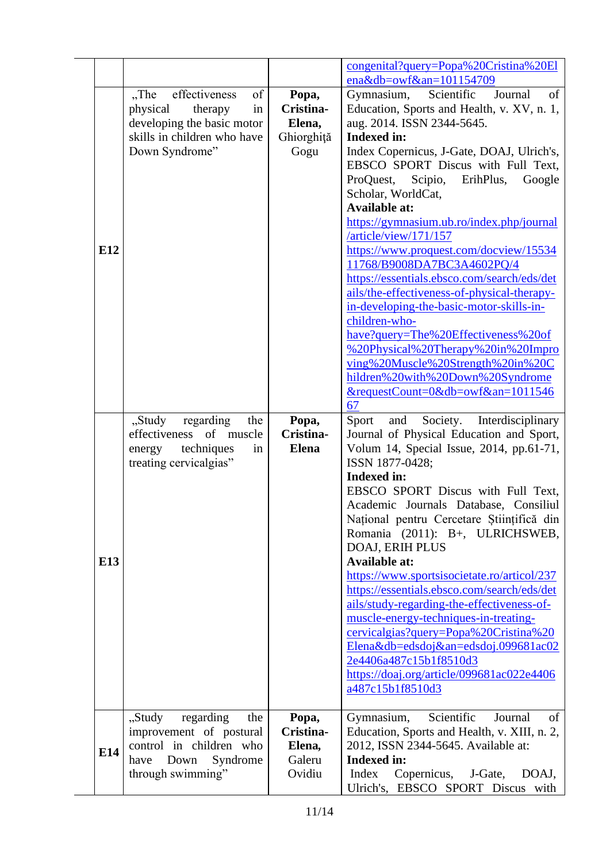|     |                                                                                                                                            |                                                    | congenital?query=Popa%20Cristina%20El<br>ena&db=owf&an= $101154709$                                                                                                                                                                                                                                                                                                                                                                                                                                                                                                                                                                                                                                                                                                                                                             |
|-----|--------------------------------------------------------------------------------------------------------------------------------------------|----------------------------------------------------|---------------------------------------------------------------------------------------------------------------------------------------------------------------------------------------------------------------------------------------------------------------------------------------------------------------------------------------------------------------------------------------------------------------------------------------------------------------------------------------------------------------------------------------------------------------------------------------------------------------------------------------------------------------------------------------------------------------------------------------------------------------------------------------------------------------------------------|
| E12 | of<br>effectiveness<br>$,$ The<br>physical<br>therapy<br>in<br>developing the basic motor<br>skills in children who have<br>Down Syndrome" | Popa,<br>Cristina-<br>Elena,<br>Ghiorghiță<br>Gogu | Scientific<br>Journal<br>of<br>Gymnasium,<br>Education, Sports and Health, v. XV, n. 1,<br>aug. 2014. ISSN 2344-5645.<br><b>Indexed in:</b><br>Index Copernicus, J-Gate, DOAJ, Ulrich's,<br>EBSCO SPORT Discus with Full Text,<br>ProQuest,<br>Scipio,<br>ErihPlus,<br>Google<br>Scholar, WorldCat,<br><b>Available at:</b><br>https://gymnasium.ub.ro/index.php/journal<br>/article/view/171/157<br>https://www.proquest.com/docview/15534<br>11768/B9008DA7BC3A4602PQ/4<br>https://essentials.ebsco.com/search/eds/det<br>ails/the-effectiveness-of-physical-therapy-<br>in-developing-the-basic-motor-skills-in-<br>children-who-<br>have?query=The%20Effectiveness%20of<br>%20Physical%20Therapy%20in%20Impro<br>ving%20Muscle%20Strength%20in%20C<br>hildren%20with%20Down%20Syndrome<br>&requestCount=0&db=owf&an=1011546 |
| E13 | regarding<br>"Study<br>the<br>effectiveness<br>of muscle<br>techniques<br>energy<br>in<br>treating cervicalgias"                           | Popa,<br>Cristina-<br><b>Elena</b>                 | 67<br>Interdisciplinary<br>and<br>Society.<br>Sport<br>Journal of Physical Education and Sport,<br>Volum 14, Special Issue, 2014, pp.61-71,<br>ISSN 1877-0428;<br><b>Indexed in:</b><br>EBSCO SPORT Discus with Full Text,<br>Academic Journals Database, Consiliul<br>Național pentru Cercetare Științifică din<br>Romania (2011): B+, ULRICHSWEB,<br>DOAJ, ERIH PLUS<br><b>Available at:</b><br>https://www.sportsisocietate.ro/articol/237<br>https://essentials.ebsco.com/search/eds/det<br>ails/study-regarding-the-effectiveness-of-<br>muscle-energy-techniques-in-treating-<br>cervicalgias?query=Popa%20Cristina%20<br>Elena&db=edsdoj&an=edsdoj.099681ac02<br>2e4406a487c15b1f8510d3<br>https://doaj.org/article/099681ac022e4406<br>a487c15b1f8510d3                                                                 |
| E14 | "Study<br>regarding<br>the<br>improvement of postural<br>control in children who<br>Syndrome<br>Down<br>have<br>through swimming"          | Popa,<br>Cristina-<br>Elena,<br>Galeru<br>Ovidiu   | Scientific<br>of<br>Gymnasium,<br>Journal<br>Education, Sports and Health, v. XIII, n. 2,<br>2012, ISSN 2344-5645. Available at:<br><b>Indexed in:</b><br>Index<br>Copernicus,<br>J-Gate,<br>DOAJ,<br>Ulrich's, EBSCO SPORT Discus with                                                                                                                                                                                                                                                                                                                                                                                                                                                                                                                                                                                         |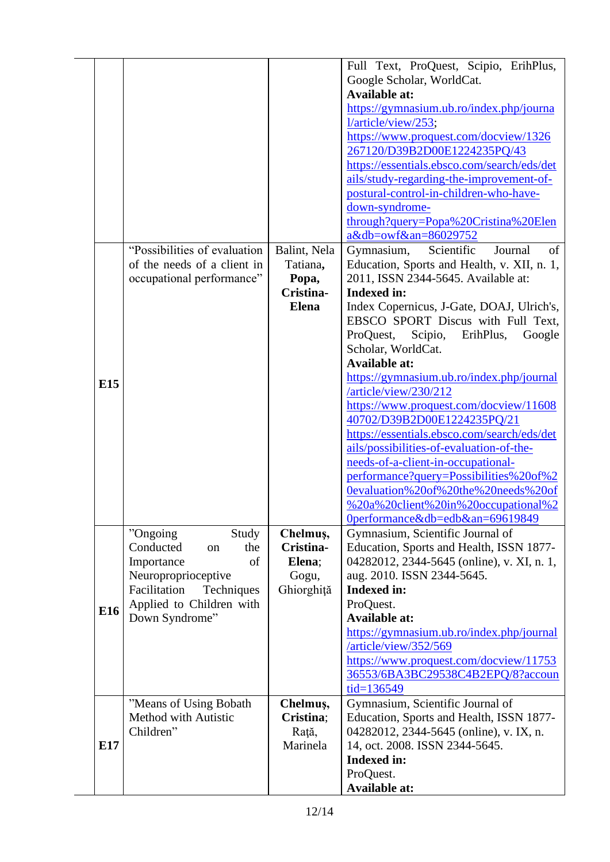|     |                               |              | Full Text, ProQuest, Scipio, ErihPlus,      |
|-----|-------------------------------|--------------|---------------------------------------------|
|     |                               |              | Google Scholar, WorldCat.                   |
|     |                               |              | <b>Available at:</b>                        |
|     |                               |              | https://gymnasium.ub.ro/index.php/journa    |
|     |                               |              | l/article/view/253;                         |
|     |                               |              | https://www.proquest.com/docview/1326       |
|     |                               |              | 267120/D39B2D00E1224235PQ/43                |
|     |                               |              | https://essentials.ebsco.com/search/eds/det |
|     |                               |              | ails/study-regarding-the-improvement-of-    |
|     |                               |              | postural-control-in-children-who-have-      |
|     |                               |              |                                             |
|     |                               |              | down-syndrome-                              |
|     |                               |              | through?query=Popa%20Cristina%20Elen        |
|     |                               |              | a&db=owf&an=86029752                        |
|     | "Possibilities of evaluation" | Balint, Nela | Gymnasium,<br>Scientific<br>Journal<br>of   |
|     | of the needs of a client in   | Tatiana,     | Education, Sports and Health, v. XII, n. 1, |
|     | occupational performance"     | Popa,        | 2011, ISSN 2344-5645. Available at:         |
|     |                               | Cristina-    | <b>Indexed in:</b>                          |
|     |                               | <b>Elena</b> | Index Copernicus, J-Gate, DOAJ, Ulrich's,   |
|     |                               |              | EBSCO SPORT Discus with Full Text,          |
|     |                               |              | ProQuest,<br>Scipio,<br>ErihPlus,<br>Google |
|     |                               |              | Scholar, WorldCat.                          |
|     |                               |              | <b>Available at:</b>                        |
|     |                               |              |                                             |
| E15 |                               |              | https://gymnasium.ub.ro/index.php/journal   |
|     |                               |              | /article/view/230/212                       |
|     |                               |              | https://www.proquest.com/docview/11608      |
|     |                               |              | 40702/D39B2D00E1224235PQ/21                 |
|     |                               |              | https://essentials.ebsco.com/search/eds/det |
|     |                               |              | ails/possibilities-of-evaluation-of-the-    |
|     |                               |              | needs-of-a-client-in-occupational-          |
|     |                               |              | performance?query=Possibilities%20of%2      |
|     |                               |              | 0evaluation%20of%20the%20needs%20of         |
|     |                               |              | %20a%20client%20in%20occupational%2         |
|     |                               |              |                                             |
|     |                               |              | $0$ performance & db=edb $\&$ an = 69619849 |
|     | "Ongoing<br>Study             | Chelmuş,     | Gymnasium, Scientific Journal of            |
|     | Conducted<br>the<br>on        | Cristina-    | Education, Sports and Health, ISSN 1877-    |
|     | of<br>Importance              | Elena;       | 04282012, 2344-5645 (online), v. XI, n. 1,  |
|     | Neuroproprioceptive           | Gogu,        | aug. 2010. ISSN 2344-5645.                  |
|     | Facilitation<br>Techniques    | Ghiorghiță   | <b>Indexed in:</b>                          |
| E16 | Applied to Children with      |              | ProQuest.                                   |
|     | Down Syndrome"                |              | <b>Available at:</b>                        |
|     |                               |              | https://gymnasium.ub.ro/index.php/journal   |
|     |                               |              | /article/view/352/569                       |
|     |                               |              | https://www.proquest.com/docview/11753      |
|     |                               |              | 36553/6BA3BC29538C4B2EPQ/8?accoun           |
|     |                               |              |                                             |
|     |                               |              | tid=136549                                  |
|     | "Means of Using Bobath"       | Chelmuş,     | Gymnasium, Scientific Journal of            |
|     | Method with Autistic          | Cristina;    | Education, Sports and Health, ISSN 1877-    |
|     | Children"                     | Rață,        | 04282012, 2344-5645 (online), v. IX, n.     |
| E17 |                               | Marinela     | 14, oct. 2008. ISSN 2344-5645.              |
|     |                               |              | <b>Indexed in:</b>                          |
|     |                               |              | ProQuest.                                   |
|     |                               |              | <b>Available at:</b>                        |
|     |                               |              |                                             |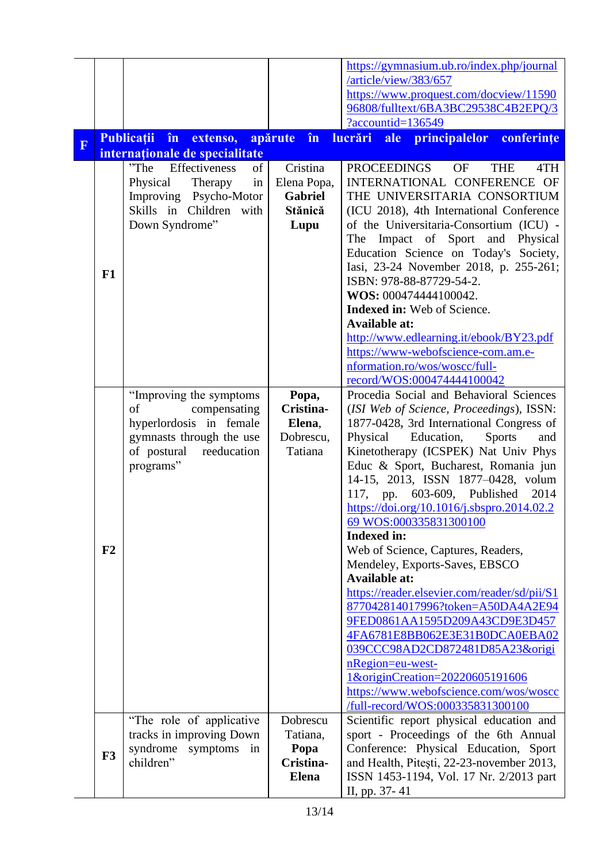|                         |    |                                                                                                                                                  |                                                              | https://gymnasium.ub.ro/index.php/journal<br>/article/view/383/657<br>https://www.proquest.com/docview/11590<br>96808/fulltext/6BA3BC29538C4B2EPQ/3                                                                                                                                                                                                                                                                                                                                                                                                                                                                                                                                                                                                                                                                                                                              |
|-------------------------|----|--------------------------------------------------------------------------------------------------------------------------------------------------|--------------------------------------------------------------|----------------------------------------------------------------------------------------------------------------------------------------------------------------------------------------------------------------------------------------------------------------------------------------------------------------------------------------------------------------------------------------------------------------------------------------------------------------------------------------------------------------------------------------------------------------------------------------------------------------------------------------------------------------------------------------------------------------------------------------------------------------------------------------------------------------------------------------------------------------------------------|
|                         |    |                                                                                                                                                  |                                                              | ?accountid=136549                                                                                                                                                                                                                                                                                                                                                                                                                                                                                                                                                                                                                                                                                                                                                                                                                                                                |
| $\overline{\mathbf{F}}$ |    | <b>Publicatii</b><br>$\mathbf{\hat{n}}$<br>extenso,                                                                                              | în<br>apărute                                                | principalelor<br>lucrări ale<br>conferințe                                                                                                                                                                                                                                                                                                                                                                                                                                                                                                                                                                                                                                                                                                                                                                                                                                       |
|                         |    | internaționale de specialitate<br>Effectiveness                                                                                                  |                                                              |                                                                                                                                                                                                                                                                                                                                                                                                                                                                                                                                                                                                                                                                                                                                                                                                                                                                                  |
|                         | F1 | "The<br>of<br>Physical<br>Therapy<br>in<br>Improving Psycho-Motor<br>Skills in Children with<br>Down Syndrome"                                   | Cristina<br>Elena Popa,<br><b>Gabriel</b><br>Stănică<br>Lupu | <b>PROCEEDINGS</b><br>OF<br><b>THE</b><br>4TH<br>INTERNATIONAL CONFERENCE OF<br>THE UNIVERSITARIA CONSORTIUM<br>(ICU 2018), 4th International Conference<br>of the Universitaria-Consortium (ICU) -<br>The Impact of Sport and Physical<br>Education Science on Today's Society,<br>Iasi, 23-24 November 2018, p. 255-261;<br>ISBN: 978-88-87729-54-2.<br>WOS: 000474444100042.<br><b>Indexed in:</b> Web of Science.<br><b>Available at:</b><br>http://www.edlearning.it/ebook/BY23.pdf<br>https://www-webofscience-com.am.e-                                                                                                                                                                                                                                                                                                                                                   |
|                         |    |                                                                                                                                                  |                                                              | nformation.ro/wos/woscc/full-                                                                                                                                                                                                                                                                                                                                                                                                                                                                                                                                                                                                                                                                                                                                                                                                                                                    |
|                         |    |                                                                                                                                                  |                                                              | record/WOS:000474444100042                                                                                                                                                                                                                                                                                                                                                                                                                                                                                                                                                                                                                                                                                                                                                                                                                                                       |
|                         | F2 | "Improving the symptoms"<br>compensating<br>of<br>hyperlordosis in female<br>gymnasts through the use<br>of postural<br>reeducation<br>programs" | Popa,<br>Cristina-<br>Elena,<br>Dobrescu,<br>Tatiana         | Procedia Social and Behavioral Sciences<br>(ISI Web of Science, Proceedings), ISSN:<br>1877-0428, 3rd International Congress of<br>Physical<br>Education,<br><b>Sports</b><br>and<br>Kinetotherapy (ICSPEK) Nat Univ Phys<br>Educ & Sport, Bucharest, Romania jun<br>14-15, 2013, ISSN 1877-0428, volum<br>117, pp.<br>603-609, Published<br>2014<br>https://doi.org/10.1016/j.sbspro.2014.02.2<br>69 WOS:000335831300100<br><b>Indexed in:</b><br>Web of Science, Captures, Readers,<br>Mendeley, Exports-Saves, EBSCO<br><b>Available at:</b><br>https://reader.elsevier.com/reader/sd/pii/S1<br>877042814017996?token=A50DA4A2E94<br>9FED0861AA1595D209A43CD9E3D457<br>4FA6781E8BB062E3E31B0DCA0EBA02<br>039CCC98AD2CD872481D85A23&origi<br>nRegion=eu-west-<br>1&originCreation=20220605191606<br>https://www.webofscience.com/wos/woscc<br>/full-record/WOS:000335831300100 |
|                         | F3 | "The role of applicative"<br>tracks in improving Down<br>syndrome symptoms in<br>children"                                                       | Dobrescu<br>Tatiana,<br>Popa<br>Cristina-<br><b>Elena</b>    | Scientific report physical education and<br>sport - Proceedings of the 6th Annual<br>Conference: Physical Education, Sport<br>and Health, Pitești, 22-23-november 2013,<br>ISSN 1453-1194, Vol. 17 Nr. 2/2013 part<br>II, pp. 37-41                                                                                                                                                                                                                                                                                                                                                                                                                                                                                                                                                                                                                                              |